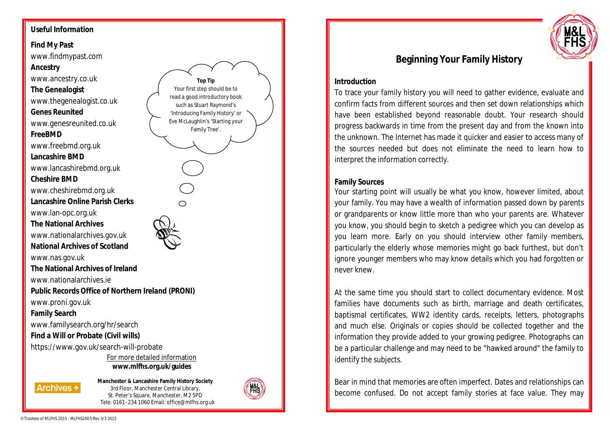## **Useful Information**

**Find My Past** www.findmypast.com

**Ancestry** www.ancestry.co.uk **The Genealogist** www.thegenealogist.co.uk **Genes Reunited** www.genesreunited.co.uk **FreeBMD** www.freebmd.org.uk **Lancashire BMD** www.lancashirebmd.org.uk **Cheshire BMD** www.cheshirebmd.org.uk **Lancashire Online Parish Clerks** www.lan-opc.org.uk **The National Archives**

www.nationalarchives.gov.uk **National Archives of Scotland**

www.nas.gov.uk

**The National Archives of Ireland**

www.nationalarchives.ie

**Public Records Office of Northern Ireland (PRONI)**

www.proni.gov.uk

**Family Search**

www.familysearch.org/hr/search

### **Find a Will or Probate (Civil wills)**

https://www.gov.uk/search-will-probate

For more detailed information **www.mlfhs.org.uk/guides**

**Archives \*** 

**Manchester & Lancashire Family History Society** 3rd Floor, Manchester Central Library, St. Peter's Square, Manchester, M2 5PD Tele: 0161- 234 1060 Email: office@mlfhs.org.uk

**Top Tip** Your first step should be to read a good introductory book such as Stuart Raymond's 'Introducing Family History' or Eve McLaughlin's 'Starting your Family Tree'.





# **Beginning Your Family History**

#### **Introduction**

To trace your family history you will need to gather evidence, evaluate and confirm facts from different sources and then set down relationships which have been established beyond reasonable doubt. Your research should progress backwards in time from the present day and from the known into the unknown. The Internet has made it quicker and easier to access many of the sources needed but does not eliminate the need to learn how to interpret the information correctly.

#### **Family Sources**

Your starting point will usually be what you know, however limited, about your family. You may have a wealth of information passed down by parents or grandparents or know little more than who your parents are. Whatever you know, you should begin to sketch a pedigree which you can develop as you learn more. Early on you should interview other family members, particularly the elderly whose memories might go back furthest, but don't ignore younger members who may know details which you had forgotten or never knew.

At the same time you should start to collect documentary evidence. Most families have documents such as birth, marriage and death certificates, baptismal certificates, WW2 identity cards, receipts, letters, photographs and much else. Originals or copies should be collected together and the information they provide added to your growing pedigree. Photographs can be a particular challenge and may need to be "hawked around" the family to identify the subjects.

Bear in mind that memories are often imperfect. Dates and relationships can become confused. Do not accept family stories at face value. They may